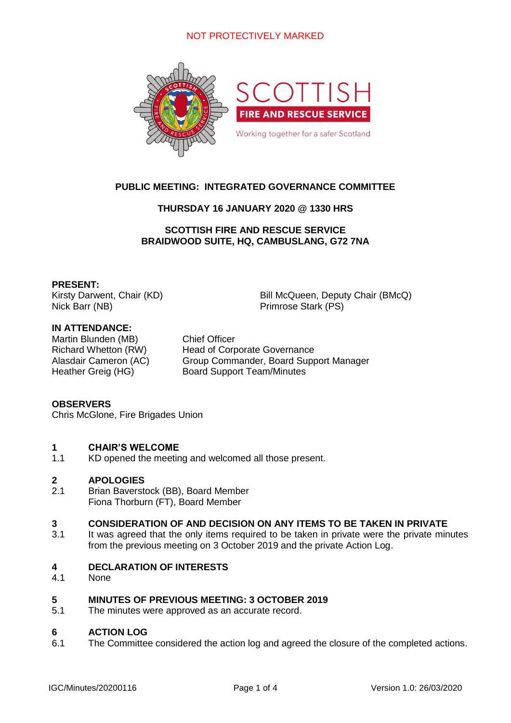# NOT PROTECTIVELY MARKED



# **PUBLIC MEETING: INTEGRATED GOVERNANCE COMMITTEE**

## **THURSDAY 16 JANUARY 2020 @ 1330 HRS**

**SCOTTISH FIRE AND RESCUE SERVICE BRAIDWOOD SUITE, HQ, CAMBUSLANG, G72 7NA**

### **PRESENT:**

Nick Barr (NB) Primrose Stark (PS)

Kirsty Darwent, Chair (KD) Bill McQueen, Deputy Chair (BMcQ)

## **IN ATTENDANCE:**

Martin Blunden (MB) Chief Officer

Richard Whetton (RW) Head of Corporate Governance Alasdair Cameron (AC) Group Commander, Board Support Manager Heather Greig (HG) Board Support Team/Minutes

## **OBSERVERS**

Chris McGlone, Fire Brigades Union

#### **1 CHAIR'S WELCOME**

1.1 KD opened the meeting and welcomed all those present.

#### **2 APOLOGIES**

2.1 Brian Baverstock (BB), Board Member Fiona Thorburn (FT), Board Member

#### **3 CONSIDERATION OF AND DECISION ON ANY ITEMS TO BE TAKEN IN PRIVATE**

3.1 It was agreed that the only items required to be taken in private were the private minutes from the previous meeting on 3 October 2019 and the private Action Log.

#### **4 DECLARATION OF INTERESTS**

4.1 None

#### **5 MINUTES OF PREVIOUS MEETING: 3 OCTOBER 2019**

5.1 The minutes were approved as an accurate record.

#### **6 ACTION LOG**

6.1 The Committee considered the action log and agreed the closure of the completed actions.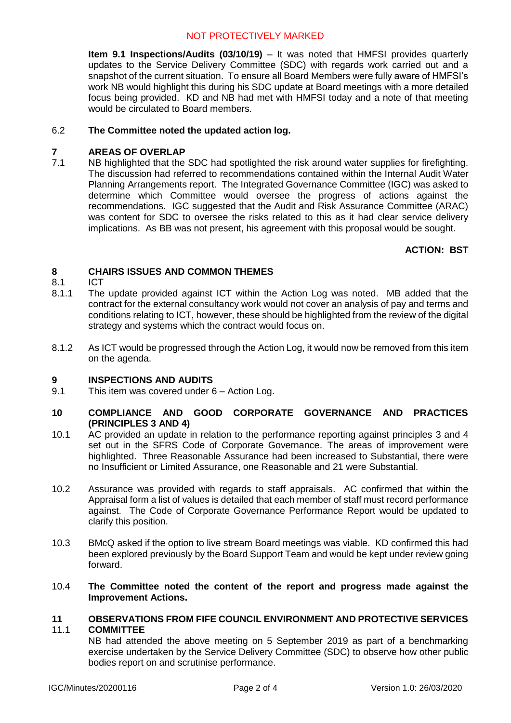# NOT PROTECTIVELY MARKED

**Item 9.1 Inspections/Audits (03/10/19)** – It was noted that HMFSI provides quarterly updates to the Service Delivery Committee (SDC) with regards work carried out and a snapshot of the current situation. To ensure all Board Members were fully aware of HMFSI's work NB would highlight this during his SDC update at Board meetings with a more detailed focus being provided. KD and NB had met with HMFSI today and a note of that meeting would be circulated to Board members.

#### 6.2 **The Committee noted the updated action log.**

#### **7 AREAS OF OVERLAP**

7.1 NB highlighted that the SDC had spotlighted the risk around water supplies for firefighting. The discussion had referred to recommendations contained within the Internal Audit Water Planning Arrangements report. The Integrated Governance Committee (IGC) was asked to determine which Committee would oversee the progress of actions against the recommendations. IGC suggested that the Audit and Risk Assurance Committee (ARAC) was content for SDC to oversee the risks related to this as it had clear service delivery implications. As BB was not present, his agreement with this proposal would be sought.

# *36T***ACTION: BST**

#### **8 CHAIRS ISSUES AND COMMON THEMES**

#### 8.1 *<sup>U</sup>*ICT

- 8.1.1 The update provided against ICT within the Action Log was noted. MB added that the contract for the external consultancy work would not cover an analysis of pay and terms and conditions relating to ICT, however, these should be highlighted from the review of the digital strategy and systems which the contract would focus on.
- 8.1.2 As ICT would be progressed through the Action Log, it would now be removed from this item on the agenda.

#### **9 INSPECTIONS AND AUDITS**

9.1 This item was covered under 6 – Action Log.

### **10 COMPLIANCE AND GOOD CORPORATE GOVERNANCE AND PRACTICES (PRINCIPLES 3 AND 4)**

- 10.1 AC provided an update in relation to the performance reporting against principles 3 and 4 set out in the SFRS Code of Corporate Governance. The areas of improvement were highlighted. Three Reasonable Assurance had been increased to Substantial, there were no Insufficient or Limited Assurance, one Reasonable and 21 were Substantial.
- 10.2 *18T*Assurance was provided with regards to staff appraisals. AC confirmed that within the Appraisal form a list of values is detailed that each member of staff must record performance against. The Code of Corporate Governance Performance Report would be updated to clarify this position.
- 10.3 *18T*BMcQ asked if the option to live stream Board meetings was viable. KD confirmed this had been explored previously by the Board Support Team and would be kept under review going forward.

### 10.4 *36T***The Committee noted the content of the report and progress made against the Improvement Actions.**

#### **11** 11.1 **OBSERVATIONS FROM FIFE COUNCIL ENVIRONMENT AND PROTECTIVE SERVICES COMMITTEE**

NB had attended the above meeting on 5 September 2019 as part of a benchmarking exercise undertaken by the Service Delivery Committee (SDC) to observe how other public bodies report on and scrutinise performance.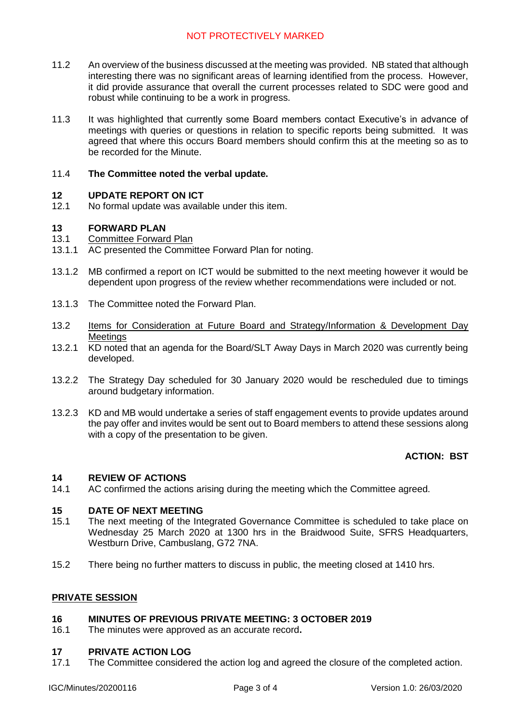- 11.2 An overview of the business discussed at the meeting was provided. NB stated that although interesting there was no significant areas of learning identified from the process. However, it did provide assurance that overall the current processes related to SDC were good and robust while continuing to be a work in progress.
- 11.3 It was highlighted that currently some Board members contact Executive's in advance of meetings with queries or questions in relation to specific reports being submitted. It was agreed that where this occurs Board members should confirm this at the meeting so as to be recorded for the Minute.

#### 11.4 **The Committee noted the verbal update.**

#### **12 UPDATE REPORT ON ICT**

12.1 No formal update was available under this item.

#### **13 FORWARD PLAN**

#### 13.1 **Committee Forward Plan**

- 13.1.1 AC presented the Committee Forward Plan for noting.
- 13.1.2 MB confirmed a report on ICT would be submitted to the next meeting however it would be dependent upon progress of the review whether recommendations were included or not.
- 13.1.3 The Committee noted the Forward Plan.
- 13.2 *<sup>U</sup>*Items for Consideration at Future Board and Strategy/Information & Development Day **Meetings**
- 13.2.1 KD noted that an agenda for the Board/SLT Away Days in March 2020 was currently being developed.
- 13.2.2 The Strategy Day scheduled for 30 January 2020 would be rescheduled due to timings around budgetary information.
- 13.2.3 KD and MB would undertake a series of staff engagement events to provide updates around the pay offer and invites would be sent out to Board members to attend these sessions along with a copy of the presentation to be given.

# **ACTION: BST**

#### **14 REVIEW OF ACTIONS**

14.1 AC confirmed the actions arising during the meeting which the Committee agreed.

#### **15 DATE OF NEXT MEETING**

- 15.1 The next meeting of the Integrated Governance Committee is scheduled to take place on Wednesday 25 March 2020 at 1300 hrs in the Braidwood Suite, SFRS Headquarters, Westburn Drive, Cambuslang, G72 7NA.
- 15.2 There being no further matters to discuss in public, the meeting closed at 1410 hrs.

### *<sup>U</sup>***PRIVATE SESSION**

#### **16 MINUTES OF PREVIOUS PRIVATE MEETING: 3 OCTOBER 2019**

16.1 The minutes were approved as an accurate record**.**

#### **17 PRIVATE ACTION LOG**

17.1 The Committee considered the action log and agreed the closure of the completed action.